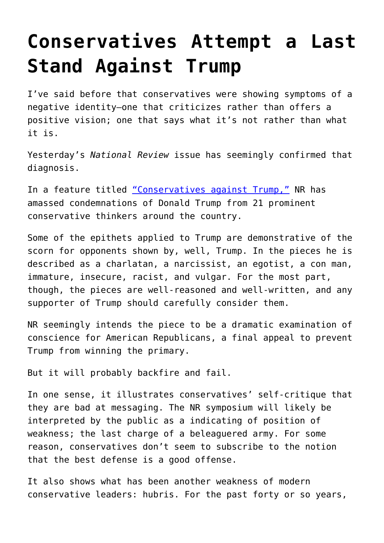## **[Conservatives Attempt a Last](https://intellectualtakeout.org/2016/01/conservatives-attempt-a-last-stand-against-trump/) [Stand Against Trump](https://intellectualtakeout.org/2016/01/conservatives-attempt-a-last-stand-against-trump/)**

I've said before that conservatives were showing symptoms of a negative identity—one that criticizes rather than offers a positive vision; one that says what it's not rather than what it is.

Yesterday's *National Review* issue has seemingly confirmed that diagnosis.

In a feature titled ["Conservatives against Trump,"](http://www.nationalreview.com/article/430126/donald-trump-conservatives-oppose-nomination) NR has amassed condemnations of Donald Trump from 21 prominent conservative thinkers around the country.

Some of the epithets applied to Trump are demonstrative of the scorn for opponents shown by, well, Trump. In the pieces he is described as a charlatan, a narcissist, an egotist, a con man, immature, insecure, racist, and vulgar. For the most part, though, the pieces are well-reasoned and well-written, and any supporter of Trump should carefully consider them.

NR seemingly intends the piece to be a dramatic examination of conscience for American Republicans, a final appeal to prevent Trump from winning the primary.

But it will probably backfire and fail.

In one sense, it illustrates conservatives' self-critique that they are bad at messaging. The NR symposium will likely be interpreted by the public as a indicating of position of weakness; the last charge of a beleaguered army. For some reason, conservatives don't seem to subscribe to the notion that the best defense is a good offense.

It also shows what has been another weakness of modern conservative leaders: hubris. For the past forty or so years,